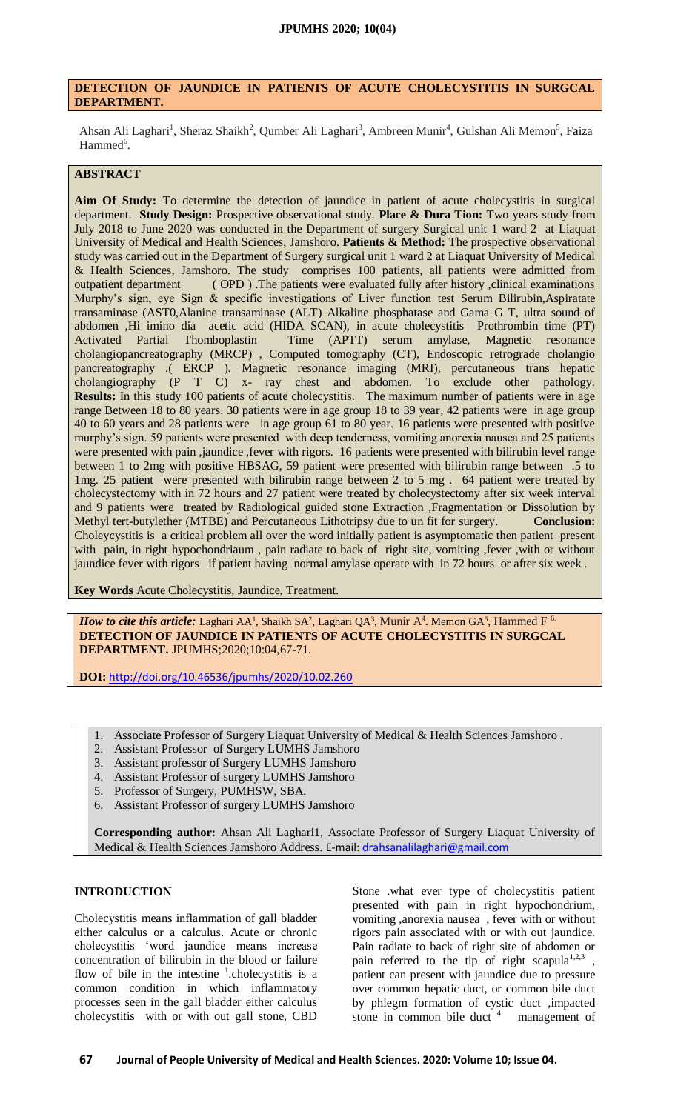### **DETECTION OF JAUNDICE IN PATIENTS OF ACUTE CHOLECYSTITIS IN SURGCAL DEPARTMENT.**

Ahsan Ali Laghari<sup>1</sup>, Sheraz Shaikh<sup>2</sup>, Qumber Ali Laghari<sup>3</sup>, Ambreen Munir<sup>4</sup>, Gulshan Ali Memon<sup>5</sup>, Faiza Hammed<sup>6</sup>.

# **ABSTRACT**

**Aim Of Study:** To determine the detection of jaundice in patient of acute cholecystitis in surgical department. **Study Design:** Prospective observational study. **Place & Dura Tion:** Two years study from July 2018 to June 2020 was conducted in the Department of surgery Surgical unit 1 ward 2 at Liaquat University of Medical and Health Sciences, Jamshoro. **Patients & Method:** The prospective observational study was carried out in the Department of Surgery surgical unit 1 ward 2 at Liaquat University of Medical & Health Sciences, Jamshoro. The study comprises 100 patients, all patients were admitted from outpatient department ( OPD ) .The patients were evaluated fully after history ,clinical examinations Murphy's sign, eye Sign & specific investigations of Liver function test Serum Bilirubin,Aspiratate transaminase (AST0,Alanine transaminase (ALT) Alkaline phosphatase and Gama G T, ultra sound of abdomen ,Hi imino dia acetic acid (HIDA SCAN), in acute cholecystitis Prothrombin time (PT) Activated Partial Thomboplastin Time (APTT) serum amylase, Magnetic resonance cholangiopancreatography (MRCP) , Computed tomography (CT), Endoscopic retrograde cholangio pancreatography .( ERCP ). Magnetic resonance imaging (MRI), percutaneous trans hepatic cholangiography (P T C) x- ray chest and abdomen. To exclude other pathology. **Results:** In this study 100 patients of acute cholecystitis. The maximum number of patients were in age range Between 18 to 80 years. 30 patients were in age group 18 to 39 year, 42 patients were in age group 40 to 60 years and 28 patients were in age group 61 to 80 year. 16 patients were presented with positive murphy's sign. 59 patients were presented with deep tenderness, vomiting anorexia nausea and 25 patients were presented with pain ,jaundice ,fever with rigors. 16 patients were presented with bilirubin level range between 1 to 2mg with positive HBSAG, 59 patient were presented with bilirubin range between .5 to 1mg. 25 patient were presented with bilirubin range between 2 to 5 mg . 64 patient were treated by cholecystectomy with in 72 hours and 27 patient were treated by cholecystectomy after six week interval and 9 patients were treated by Radiological guided stone Extraction ,Fragmentation or Dissolution by Methyl tert-butylether (MTBE) and Percutaneous Lithotripsy due to un fit for surgery. **Conclusion:** Choleycystitis is a critical problem all over the word initially patient is asymptomatic then patient present with pain, in right hypochondriaum , pain radiate to back of right site, vomiting ,fever ,with or without jaundice fever with rigors if patient having normal amylase operate with in 72 hours or after six week .

**Key Words** Acute Cholecystitis, Jaundice, Treatment.

*How to cite this article:* Laghari AA<sup>1</sup>, Shaikh SA<sup>2</sup>, Laghari QA<sup>3</sup>, Munir A<sup>4</sup>. Memon GA<sup>5</sup>, Hammed F<sup>6.</sup> **DETECTION OF JAUNDICE IN PATIENTS OF ACUTE CHOLECYSTITIS IN SURGCAL DEPARTMENT.** JPUMHS;2020;10:04,67-71.

**DOI:** <http://doi.org/10.46536/jpumhs/2020/10.02.260>

- 1. Associate Professor of Surgery Liaquat University of Medical & Health Sciences Jamshoro .
- 2. Assistant Professor of Surgery LUMHS Jamshoro
- 3. Assistant professor of Surgery LUMHS Jamshoro
- 4. Assistant Professor of surgery LUMHS Jamshoro
- 5. Professor of Surgery, PUMHSW, SBA.
- 6. Assistant Professor of surgery LUMHS Jamshoro

**Corresponding author:** Ahsan Ali Laghari1, Associate Professor of Surgery Liaquat University of Medical & Health Sciences Jamshoro Address. E-mail[: drahsanalilaghari@gmail.com](mailto:drahsanalilaghari@gmail.com)

#### **INTRODUCTION**

Cholecystitis means inflammation of gall bladder either calculus or a calculus. Acute or chronic cholecystitis 'word jaundice means increase concentration of bilirubin in the blood or failure flow of bile in the intestine  $\frac{1}{1}$ .cholecystitis is a common condition in which inflammatory processes seen in the gall bladder either calculus cholecystitis with or with out gall stone, CBD

Stone .what ever type of cholecystitis patient presented with pain in right hypochondrium, vomiting ,anorexia nausea , fever with or without rigors pain associated with or with out jaundice. Pain radiate to back of right site of abdomen or pain referred to the tip of right scapula<sup>1,2,3</sup>, patient can present with jaundice due to pressure over common hepatic duct, or common bile duct by phlegm formation of cystic duct ,impacted stone in common bile duct  $4$  management of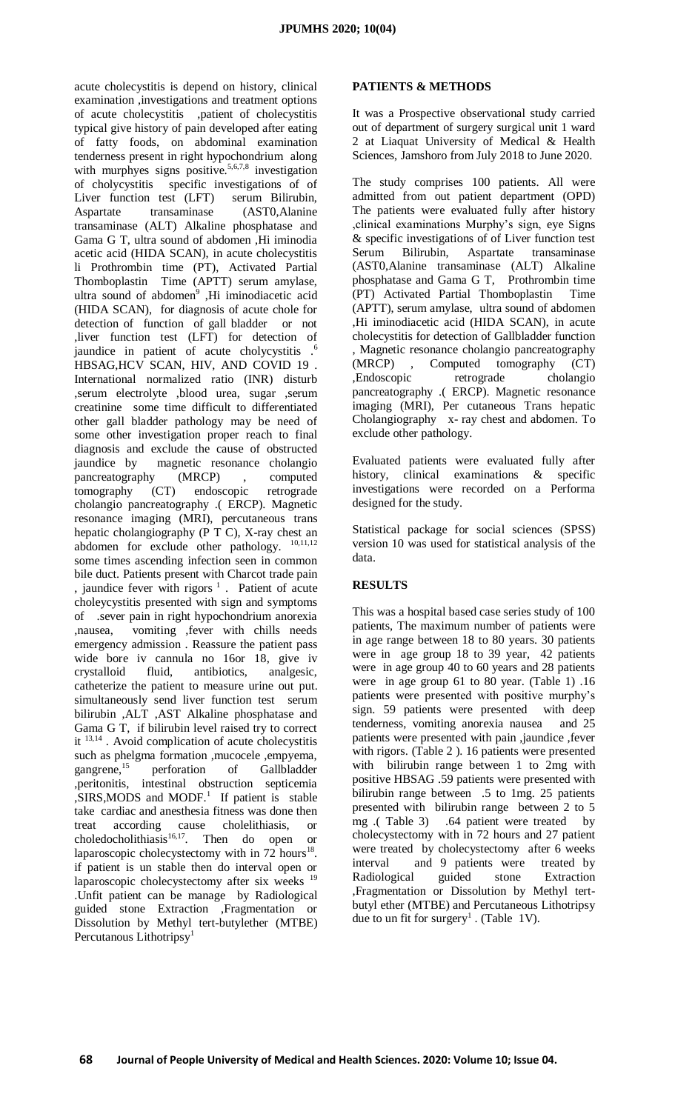acute cholecystitis is depend on history, clinical examination ,investigations and treatment options of acute cholecystitis ,patient of cholecystitis typical give history of pain developed after eating of fatty foods, on abdominal examination tenderness present in right hypochondrium along with murphyes signs positive.<sup>5,6,7,8</sup> investigation of cholycystitis specific investigations of of Liver function test (LFT) serum Bilirubin, Aspartate transaminase (AST0,Alanine transaminase (ALT) Alkaline phosphatase and Gama G T, ultra sound of abdomen ,Hi iminodia acetic acid (HIDA SCAN), in acute cholecystitis li Prothrombin time (PT), Activated Partial Thomboplastin Time (APTT) serum amylase, ultra sound of abdomen<sup>9</sup>, Hi iminodiacetic acid (HIDA SCAN), for diagnosis of acute chole for detection of function of gall bladder or not ,liver function test (LFT) for detection of jaundice in patient of acute cholycystitis .<sup>6</sup> HBSAG,HCV SCAN, HIV, AND COVID 19 . International normalized ratio (INR) disturb ,serum electrolyte ,blood urea, sugar ,serum creatinine some time difficult to differentiated other gall bladder pathology may be need of some other investigation proper reach to final diagnosis and exclude the cause of obstructed jaundice by magnetic resonance cholangio pancreatography (MRCP), computed tomography (CT) endoscopic retrograde cholangio pancreatography .( ERCP). Magnetic resonance imaging (MRI), percutaneous trans hepatic cholangiography ( $\overline{P} \overline{C}$ ), X-ray chest an abdomen for exclude other pathology.  $10,11,12$ some times ascending infection seen in common bile duct. Patients present with Charcot trade pain , jaundice fever with rigors  $1$ . Patient of acute choleycystitis presented with sign and symptoms of .sever pain in right hypochondrium anorexia ,nausea, vomiting ,fever with chills needs emergency admission . Reassure the patient pass wide bore iv cannula no 16or 18, give iv crystalloid fluid, antibiotics, analgesic, catheterize the patient to measure urine out put. simultaneously send liver function test serum bilirubin ,ALT ,AST Alkaline phosphatase and Gama G T, if bilirubin level raised try to correct it  $13,14$ . Avoid complication of acute cholecystitis such as phelgma formation ,mucocele ,empyema, gangrene,<sup>15</sup> perforation of Gallbladder ,peritonitis, intestinal obstruction septicemia  $, SIRS, MODS$  and MODF.<sup>1</sup> If patient is stable take cardiac and anesthesia fitness was done then treat according cause cholelithiasis, or  $choledocholithiasis<sup>16,17</sup>$ . Then do open or laparoscopic cholecystectomy with in  $72$  hours<sup>18</sup>. if patient is un stable then do interval open or laparoscopic cholecystectomy after six weeks <sup>19</sup> .Unfit patient can be manage by Radiological guided stone Extraction ,Fragmentation or Dissolution by Methyl tert-butylether (MTBE) Percutanous Lithotripsy<sup>1</sup>

## **PATIENTS & METHODS**

It was a Prospective observational study carried out of department of surgery surgical unit 1 ward 2 at Liaquat University of Medical & Health Sciences, Jamshoro from July 2018 to June 2020.

The study comprises 100 patients. All were admitted from out patient department (OPD) The patients were evaluated fully after history ,clinical examinations Murphy's sign, eye Signs & specific investigations of of Liver function test Serum Bilirubin, Aspartate transaminase (AST0,Alanine transaminase (ALT) Alkaline phosphatase and Gama G T, Prothrombin time (PT) Activated Partial Thomboplastin Time (APTT), serum amylase, ultra sound of abdomen ,Hi iminodiacetic acid (HIDA SCAN), in acute cholecystitis for detection of Gallbladder function , Magnetic resonance cholangio pancreatography (MRCP) , Computed tomography (CT) ,Endoscopic retrograde cholangio pancreatography .( ERCP). Magnetic resonance imaging (MRI), Per cutaneous Trans hepatic Cholangiography x- ray chest and abdomen. To exclude other pathology.

Evaluated patients were evaluated fully after history, clinical examinations & specific investigations were recorded on a Performa designed for the study.

Statistical package for social sciences (SPSS) version 10 was used for statistical analysis of the data.

## **RESULTS**

This was a hospital based case series study of 100 patients, The maximum number of patients were in age range between 18 to 80 years. 30 patients were in age group 18 to 39 year, 42 patients were in age group 40 to 60 years and 28 patients were in age group 61 to 80 year. (Table 1) .16 patients were presented with positive murphy's sign. 59 patients were presented with deep tenderness, vomiting anorexia nausea and 25 patients were presented with pain ,jaundice ,fever with rigors. (Table 2 ). 16 patients were presented with bilirubin range between 1 to 2mg with positive HBSAG .59 patients were presented with bilirubin range between .5 to 1mg. 25 patients presented with bilirubin range between 2 to 5 mg .( Table 3) .64 patient were treated by cholecystectomy with in 72 hours and 27 patient were treated by cholecystectomy after 6 weeks interval and 9 patients were treated by Radiological guided stone Extraction ,Fragmentation or Dissolution by Methyl tertbutyl ether (MTBE) and Percutaneous Lithotripsy due to un fit for surgery<sup>1</sup>. (Table 1V).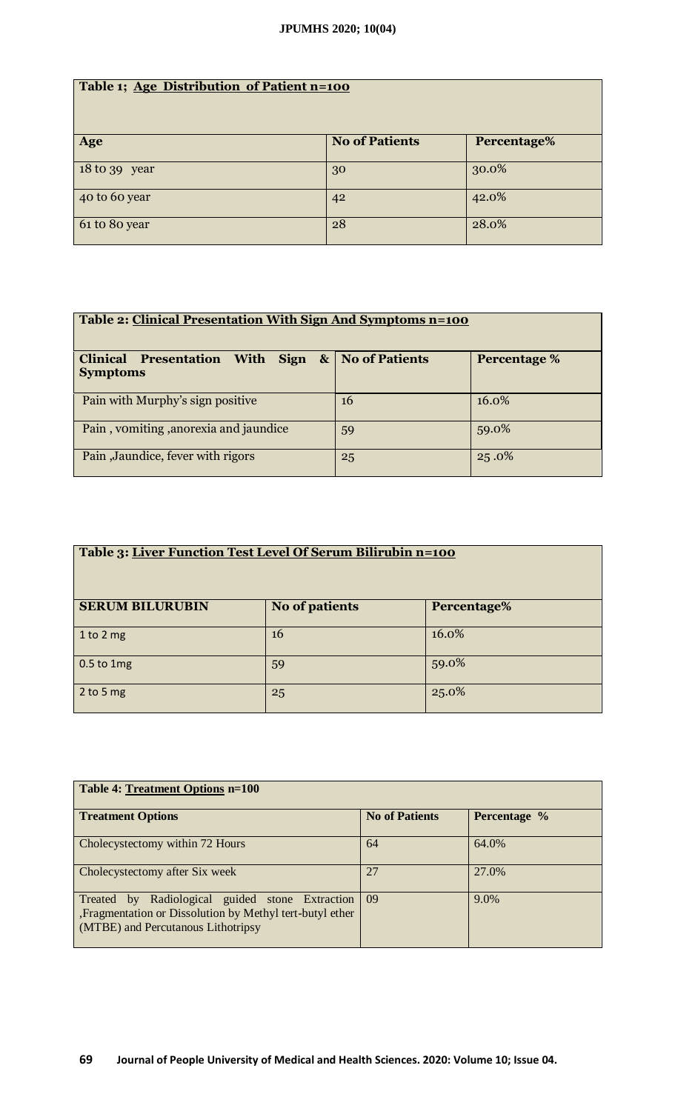| Table 1; Age Distribution of Patient n=100 |                       |             |  |  |
|--------------------------------------------|-----------------------|-------------|--|--|
| Age                                        | <b>No of Patients</b> | Percentage% |  |  |
| 18 to 39 year                              | 30                    | 30.0%       |  |  |
| 40 to 60 year                              | 42                    | 42.0%       |  |  |
| 61 to 80 year                              | 28                    | 28.0%       |  |  |

| Table 2: Clinical Presentation With Sign And Symptoms n=100                      |    |              |  |  |
|----------------------------------------------------------------------------------|----|--------------|--|--|
| With Sign $\&$ No of Patients<br><b>Clinical Presentation</b><br><b>Symptoms</b> |    | Percentage % |  |  |
| Pain with Murphy's sign positive                                                 | 16 | 16.0%        |  |  |
| Pain, vomiting, anorexia and jaundice                                            | 59 | 59.0%        |  |  |
| Pain , Jaundice, fever with rigors                                               | 25 | 25.0%        |  |  |

| Table 3: Liver Function Test Level Of Serum Bilirubin n=100 |                       |             |  |  |
|-------------------------------------------------------------|-----------------------|-------------|--|--|
| <b>SERUM BILURUBIN</b>                                      | <b>No of patients</b> | Percentage% |  |  |
| 1 to 2 mg                                                   | <b>16</b>             | 16.0%       |  |  |
| $0.5$ to 1mg                                                | 59                    | 59.0%       |  |  |
| $2$ to 5 mg                                                 | 25                    | 25.0%       |  |  |

| <b>Table 4: Treatment Options n=100</b>                                                                                                               |                       |              |  |  |
|-------------------------------------------------------------------------------------------------------------------------------------------------------|-----------------------|--------------|--|--|
| <b>Treatment Options</b>                                                                                                                              | <b>No of Patients</b> | Percentage % |  |  |
| Cholecystectomy within 72 Hours                                                                                                                       | 64                    | 64.0%        |  |  |
| Cholecystectomy after Six week                                                                                                                        | 27                    | 27.0%        |  |  |
| by Radiological guided stone Extraction<br>Treated<br>, Fragmentation or Dissolution by Methyl tert-butyl ether<br>(MTBE) and Percutanous Lithotripsy | $\sqrt{0}$            | 9.0%         |  |  |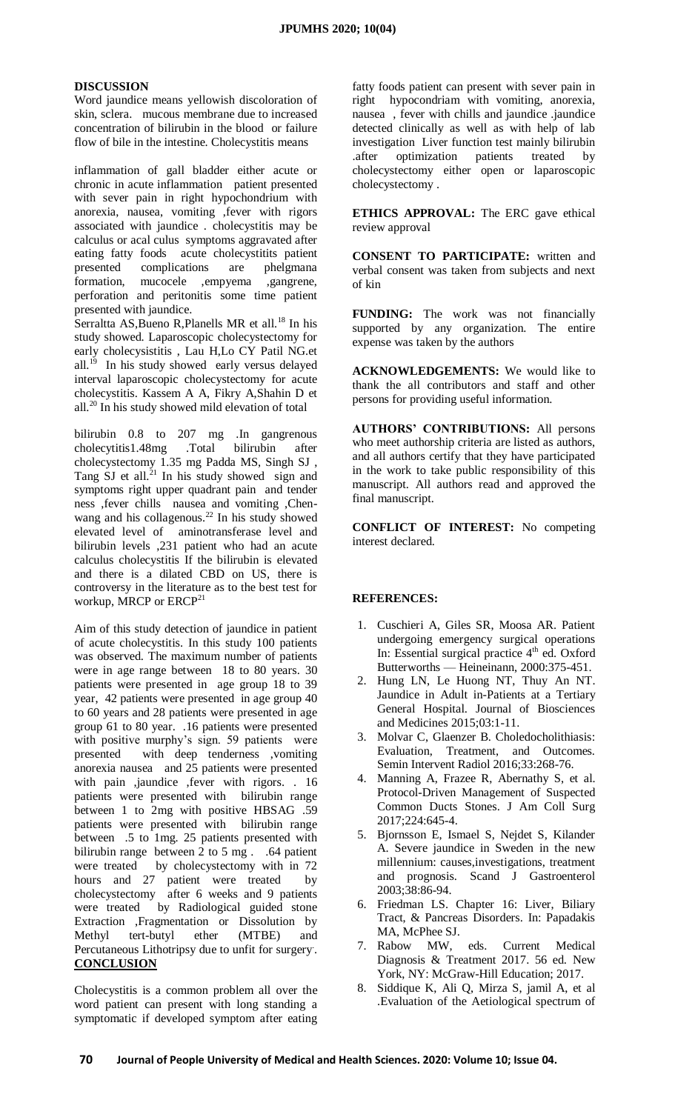#### **DISCUSSION**

Word jaundice means yellowish discoloration of skin, sclera. mucous membrane due to increased concentration of bilirubin in the blood or failure flow of bile in the intestine. Cholecystitis means

inflammation of gall bladder either acute or chronic in acute inflammation patient presented with sever pain in right hypochondrium with anorexia, nausea, vomiting ,fever with rigors associated with jaundice . cholecystitis may be calculus or acal culus symptoms aggravated after eating fatty foods acute cholecystitits patient presented complications are phelgmana formation, mucocele ,empyema ,gangrene, perforation and peritonitis some time patient presented with jaundice.

Serraltta AS, Bueno R, Planells MR et all.<sup>18</sup> In his study showed. Laparoscopic cholecystectomy for early cholecysistitis , Lau H,Lo CY Patil NG.et all.<sup>19</sup> In his study showed early versus delayed interval laparoscopic cholecystectomy for acute cholecystitis. Kassem A A, Fikry A,Shahin D et all.<sup>20</sup> In his study showed mild elevation of total

bilirubin 0.8 to 207 mg .In gangrenous cholecytitis1.48mg .Total bilirubin after cholecystectomy 1.35 mg Padda MS, Singh SJ , Tang  $SI$  et all.<sup>21</sup> In his study showed sign and symptoms right upper quadrant pain and tender ness ,fever chills nausea and vomiting ,Chenwang and his collagenous.<sup>22</sup> In his study showed elevated level of aminotransferase level and bilirubin levels ,231 patient who had an acute calculus cholecystitis If the bilirubin is elevated and there is a dilated CBD on US, there is controversy in the literature as to the best test for workup, MRCP or ERCP<sup>21</sup>

Aim of this study detection of jaundice in patient of acute cholecystitis. In this study 100 patients was observed. The maximum number of patients were in age range between 18 to 80 years. 30 patients were presented in age group 18 to 39 year, 42 patients were presented in age group 40 to 60 years and 28 patients were presented in age group 61 to 80 year. .16 patients were presented with positive murphy's sign. 59 patients were presented with deep tenderness ,vomiting anorexia nausea and 25 patients were presented with pain ,jaundice ,fever with rigors. . 16 patients were presented with bilirubin range between 1 to 2mg with positive HBSAG .59 patients were presented with bilirubin range between .5 to 1mg. 25 patients presented with bilirubin range between 2 to 5 mg. . .64 patient were treated by cholecystectomy with in 72 hours and 27 patient were treated by cholecystectomy after 6 weeks and 9 patients were treated by Radiological guided stone Extraction ,Fragmentation or Dissolution by Methyl tert-butyl ether (MTBE) and Percutaneous Lithotripsy due to unfit for surgery. . **CONCLUSION**

Cholecystitis is a common problem all over the word patient can present with long standing a symptomatic if developed symptom after eating

fatty foods patient can present with sever pain in right hypocondriam with vomiting, anorexia, nausea , fever with chills and jaundice .jaundice detected clinically as well as with help of lab investigation Liver function test mainly bilirubin .after optimization patients treated by cholecystectomy either open or laparoscopic cholecystectomy .

**ETHICS APPROVAL:** The ERC gave ethical review approval

**CONSENT TO PARTICIPATE:** written and verbal consent was taken from subjects and next of kin

**FUNDING:** The work was not financially supported by any organization. The entire expense was taken by the authors

**ACKNOWLEDGEMENTS:** We would like to thank the all contributors and staff and other persons for providing useful information.

**AUTHORS' CONTRIBUTIONS:** All persons who meet authorship criteria are listed as authors, and all authors certify that they have participated in the work to take public responsibility of this manuscript. All authors read and approved the final manuscript.

**CONFLICT OF INTEREST:** No competing interest declared.

#### **REFERENCES:**

- 1. Cuschieri A, Giles SR, Moosa AR. Patient undergoing emergency surgical operations In: Essential surgical practice 4<sup>th</sup> ed. Oxford Butterworths — Heineinann, 2000:375-451.
- 2. Hung LN, Le Huong NT, Thuy An NT. Jaundice in Adult in-Patients at a Tertiary General Hospital. Journal of Biosciences and Medicines 2015;03:1-11.
- 3. Molvar C, Glaenzer B. Choledocholithiasis: Evaluation, Treatment, and Outcomes. Semin Intervent Radiol 2016;33:268-76.
- 4. Manning A, Frazee R, Abernathy S, et al. Protocol-Driven Management of Suspected Common Ducts Stones. J Am Coll Surg 2017;224:645-4.
- 5. Bjornsson E, Ismael S, Nejdet S, Kilander A. Severe jaundice in Sweden in the new millennium: causes,investigations, treatment and prognosis. Scand J Gastroenterol 2003;38:86-94.
- 6. Friedman LS. Chapter 16: Liver, Biliary Tract, & Pancreas Disorders. In: Papadakis MA, McPhee SJ.
- 7. Rabow MW, eds. Current Medical Diagnosis & Treatment 2017. 56 ed. New York, NY: McGraw-Hill Education; 2017.
- 8. Siddique K, Ali Q, Mirza S, jamil A, et al .Evaluation of the Aetiological spectrum of